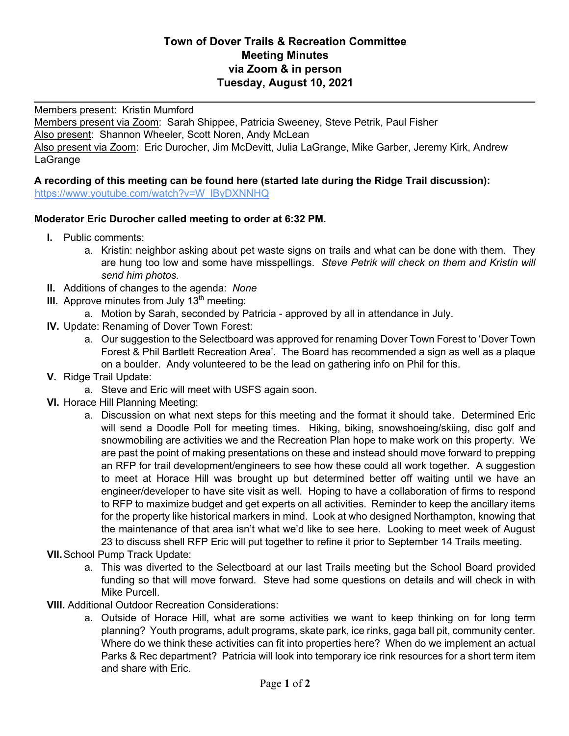## **Town of Dover Trails & Recreation Committee Meeting Minutes via Zoom & in person Tuesday, August 10, 2021**

 $\overline{\phantom{a}}$ 

Members present: Kristin Mumford

Members present via Zoom: Sarah Shippee, Patricia Sweeney, Steve Petrik, Paul Fisher Also present: Shannon Wheeler, Scott Noren, Andy McLean Also present via Zoom: Eric Durocher, Jim McDevitt, Julia LaGrange, Mike Garber, Jeremy Kirk, Andrew LaGrange

## **A recording of this meeting can be found here (started late during the Ridge Trail discussion):**

https://www.youtube.com/watch?v=W\_lByDXNNHQ

## **Moderator Eric Durocher called meeting to order at 6:32 PM.**

- **I.** Public comments:
	- a. Kristin: neighbor asking about pet waste signs on trails and what can be done with them. They are hung too low and some have misspellings. *Steve Petrik will check on them and Kristin will send him photos.*
- **II.** Additions of changes to the agenda: *None*
- **III.** Approve minutes from July  $13<sup>th</sup>$  meeting:
	- a. Motion by Sarah, seconded by Patricia approved by all in attendance in July.
- **IV.** Update: Renaming of Dover Town Forest:
	- a. Our suggestion to the Selectboard was approved for renaming Dover Town Forest to 'Dover Town Forest & Phil Bartlett Recreation Area'. The Board has recommended a sign as well as a plaque on a boulder. Andy volunteered to be the lead on gathering info on Phil for this.
- **V.** Ridge Trail Update:
	- a. Steve and Eric will meet with USFS again soon.
- **VI.** Horace Hill Planning Meeting:
	- a. Discussion on what next steps for this meeting and the format it should take. Determined Eric will send a Doodle Poll for meeting times. Hiking, biking, snowshoeing/skiing, disc golf and snowmobiling are activities we and the Recreation Plan hope to make work on this property. We are past the point of making presentations on these and instead should move forward to prepping an RFP for trail development/engineers to see how these could all work together. A suggestion to meet at Horace Hill was brought up but determined better off waiting until we have an engineer/developer to have site visit as well. Hoping to have a collaboration of firms to respond to RFP to maximize budget and get experts on all activities. Reminder to keep the ancillary items for the property like historical markers in mind. Look at who designed Northampton, knowing that the maintenance of that area isn't what we'd like to see here. Looking to meet week of August 23 to discuss shell RFP Eric will put together to refine it prior to September 14 Trails meeting.
- **VII.**School Pump Track Update:
	- a. This was diverted to the Selectboard at our last Trails meeting but the School Board provided funding so that will move forward. Steve had some questions on details and will check in with Mike Purcell.
- **VIII.** Additional Outdoor Recreation Considerations:
	- a. Outside of Horace Hill, what are some activities we want to keep thinking on for long term planning? Youth programs, adult programs, skate park, ice rinks, gaga ball pit, community center. Where do we think these activities can fit into properties here? When do we implement an actual Parks & Rec department? Patricia will look into temporary ice rink resources for a short term item and share with Eric.